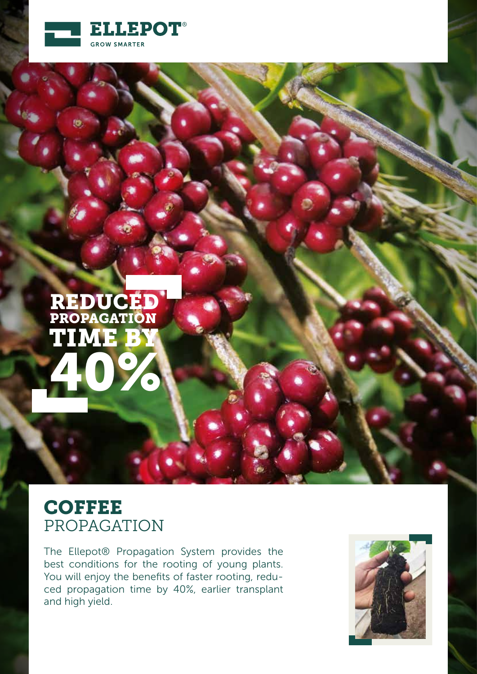

# REDUCED TIME BY 40% PROPAGATION

# COFFEE PROPAGATION

The Ellepot® Propagation System provides the best conditions for the rooting of young plants. You will enjoy the benefits of faster rooting, reduced propagation time by 40%, earlier transplant and high yield.